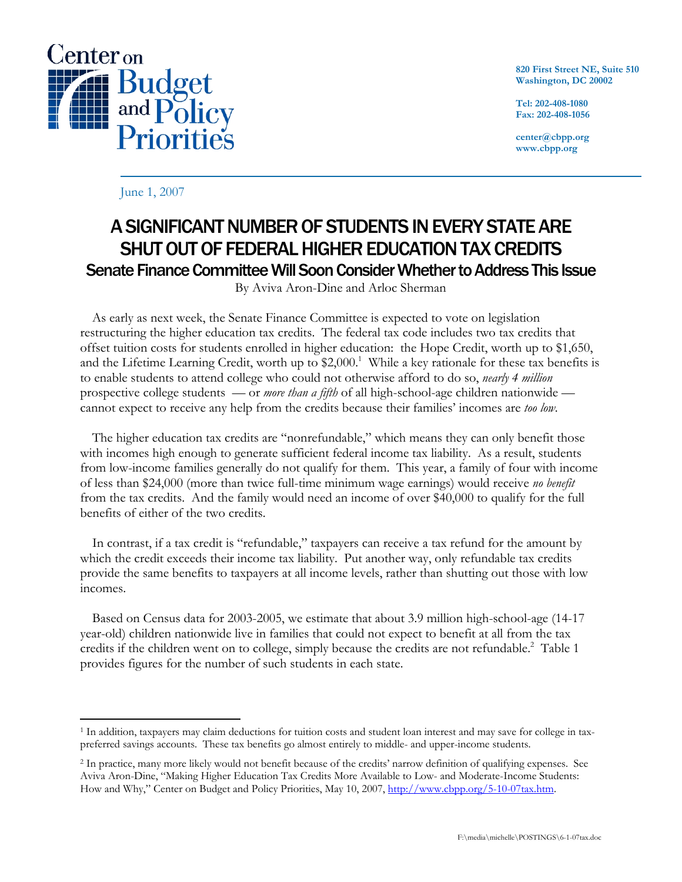

**820 First Street NE, Suite 510 Washington, DC 20002** 

**Tel: 202-408-1080 Fax: 202-408-1056** 

**center@cbpp.org www.cbpp.org** 

June 1, 2007

## A SIGNIFICANT NUMBER OF STUDENTS IN EVERY STATE ARE SHUT OUT OF FEDERAL HIGHER EDUCATION TAX CREDITS Senate Finance Committee Will Soon Consider Whether to Address This Issue

By Aviva Aron-Dine and Arloc Sherman

 As early as next week, the Senate Finance Committee is expected to vote on legislation restructuring the higher education tax credits. The federal tax code includes two tax credits that offset tuition costs for students enrolled in higher education: the Hope Credit, worth up to \$1,650, and the Lifetime Learning Credit, worth up to  $$2,000$ .<sup>1</sup> While a key rationale for these tax benefits is to enable students to attend college who could not otherwise afford to do so, *nearly 4 million* prospective college students — or *more than a fifth* of all high-school-age children nationwide cannot expect to receive any help from the credits because their families' incomes are *too low*.

The higher education tax credits are "nonrefundable," which means they can only benefit those with incomes high enough to generate sufficient federal income tax liability. As a result, students from low-income families generally do not qualify for them. This year, a family of four with income of less than \$24,000 (more than twice full-time minimum wage earnings) would receive *no benefit* from the tax credits. And the family would need an income of over \$40,000 to qualify for the full benefits of either of the two credits.

 In contrast, if a tax credit is "refundable," taxpayers can receive a tax refund for the amount by which the credit exceeds their income tax liability. Put another way, only refundable tax credits provide the same benefits to taxpayers at all income levels, rather than shutting out those with low incomes.

 Based on Census data for 2003-2005, we estimate that about 3.9 million high-school-age (14-17 year-old) children nationwide live in families that could not expect to benefit at all from the tax credits if the children went on to college, simply because the credits are not refundable.<sup>2</sup> Table 1 provides figures for the number of such students in each state.

 $\overline{a}$ 1 In addition, taxpayers may claim deductions for tuition costs and student loan interest and may save for college in taxpreferred savings accounts. These tax benefits go almost entirely to middle- and upper-income students.

<sup>2</sup> In practice, many more likely would not benefit because of the credits' narrow definition of qualifying expenses. See Aviva Aron-Dine, "Making Higher Education Tax Credits More Available to Low- and Moderate-Income Students: How and Why," Center on Budget and Policy Priorities, May 10, 2007, http://www.cbpp.org/5-10-07tax.htm.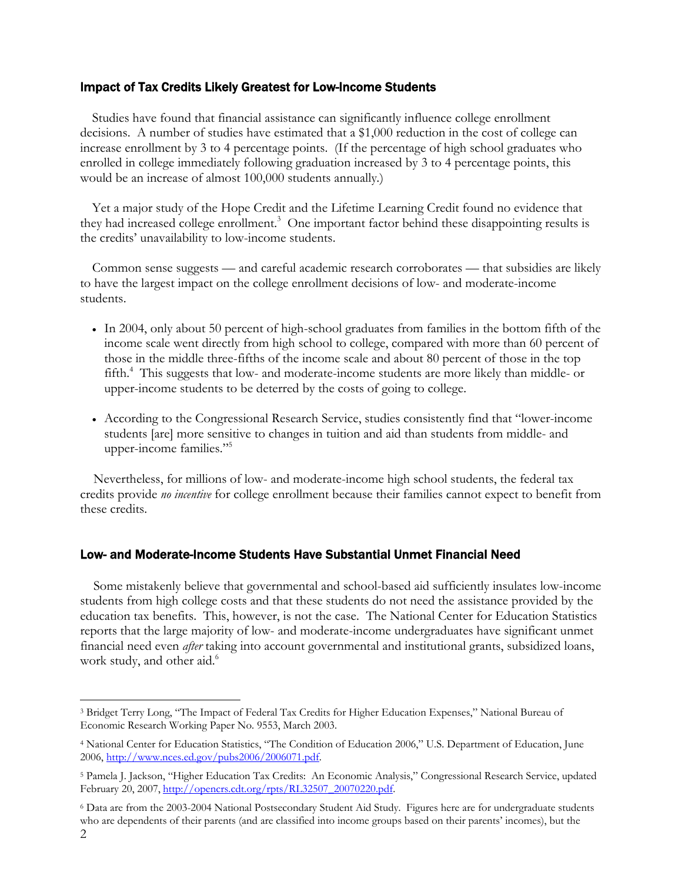## Impact of Tax Credits Likely Greatest for Low-Income Students

Studies have found that financial assistance can significantly influence college enrollment decisions. A number of studies have estimated that a \$1,000 reduction in the cost of college can increase enrollment by 3 to 4 percentage points. (If the percentage of high school graduates who enrolled in college immediately following graduation increased by 3 to 4 percentage points, this would be an increase of almost 100,000 students annually*.*)

 Yet a major study of the Hope Credit and the Lifetime Learning Credit found no evidence that they had increased college enrollment.<sup>3</sup> One important factor behind these disappointing results is the credits' unavailability to low-income students.

 Common sense suggests — and careful academic research corroborates — that subsidies are likely to have the largest impact on the college enrollment decisions of low- and moderate-income students.

- In 2004, only about 50 percent of high-school graduates from families in the bottom fifth of the income scale went directly from high school to college, compared with more than 60 percent of those in the middle three-fifths of the income scale and about 80 percent of those in the top fifth.<sup>4</sup> This suggests that low- and moderate-income students are more likely than middle- or upper-income students to be deterred by the costs of going to college.
- According to the Congressional Research Service, studies consistently find that "lower-income students [are] more sensitive to changes in tuition and aid than students from middle- and upper-income families."5

Nevertheless, for millions of low- and moderate-income high school students, the federal tax credits provide *no incentive* for college enrollment because their families cannot expect to benefit from these credits.

## Low- and Moderate-Income Students Have Substantial Unmet Financial Need

Some mistakenly believe that governmental and school-based aid sufficiently insulates low-income students from high college costs and that these students do not need the assistance provided by the education tax benefits. This, however, is not the case. The National Center for Education Statistics reports that the large majority of low- and moderate-income undergraduates have significant unmet financial need even *after* taking into account governmental and institutional grants, subsidized loans, work study, and other aid.<sup>6</sup>

<sup>-</sup>3 Bridget Terry Long, "The Impact of Federal Tax Credits for Higher Education Expenses," National Bureau of Economic Research Working Paper No. 9553, March 2003.

<sup>4</sup> National Center for Education Statistics, "The Condition of Education 2006," U.S. Department of Education, June 2006, http://www.nces.ed.gov/pubs2006/2006071.pdf.

<sup>5</sup> Pamela J. Jackson, "Higher Education Tax Credits: An Economic Analysis," Congressional Research Service, updated February 20, 2007, http://opencrs.cdt.org/rpts/RL32507\_20070220.pdf.

<sup>6</sup> Data are from the 2003-2004 National Postsecondary Student Aid Study. Figures here are for undergraduate students who are dependents of their parents (and are classified into income groups based on their parents' incomes), but the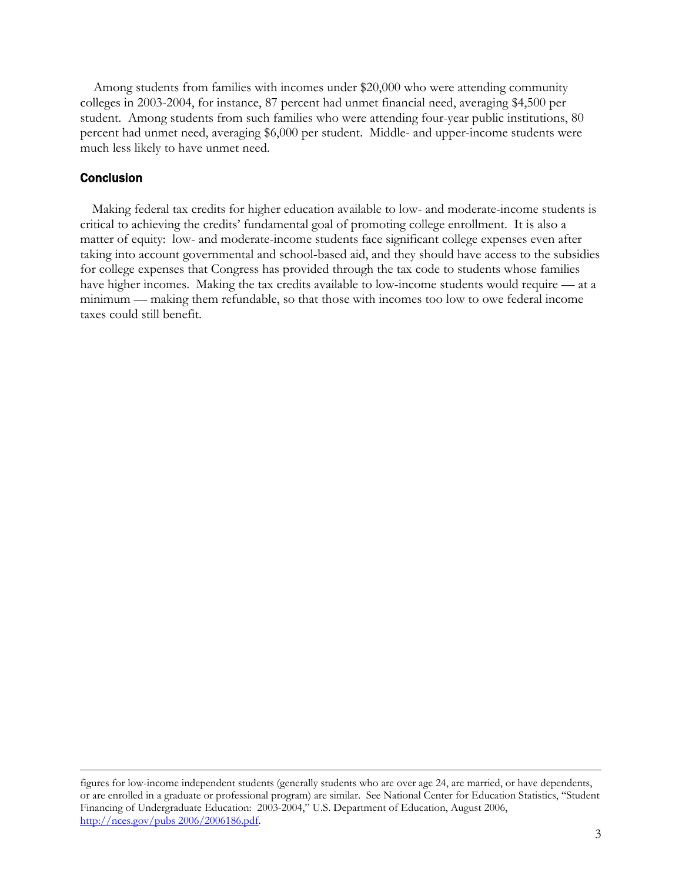Among students from families with incomes under \$20,000 who were attending community colleges in 2003-2004, for instance, 87 percent had unmet financial need, averaging \$4,500 per student. Among students from such families who were attending four-year public institutions, 80 percent had unmet need, averaging \$6,000 per student. Middle- and upper-income students were much less likely to have unmet need.

## **Conclusion**

 Making federal tax credits for higher education available to low- and moderate-income students is critical to achieving the credits' fundamental goal of promoting college enrollment. It is also a matter of equity: low- and moderate-income students face significant college expenses even after taking into account governmental and school-based aid, and they should have access to the subsidies for college expenses that Congress has provided through the tax code to students whose families have higher incomes. Making the tax credits available to low-income students would require — at a minimum — making them refundable, so that those with incomes too low to owe federal income taxes could still benefit.

figures for low-income independent students (generally students who are over age 24, are married, or have dependents, or are enrolled in a graduate or professional program) are similar. See National Center for Education Statistics, "Student Financing of Undergraduate Education: 2003-2004," U.S. Department of Education, August 2006, http://nces.gov/pubs 2006/2006186.pdf.